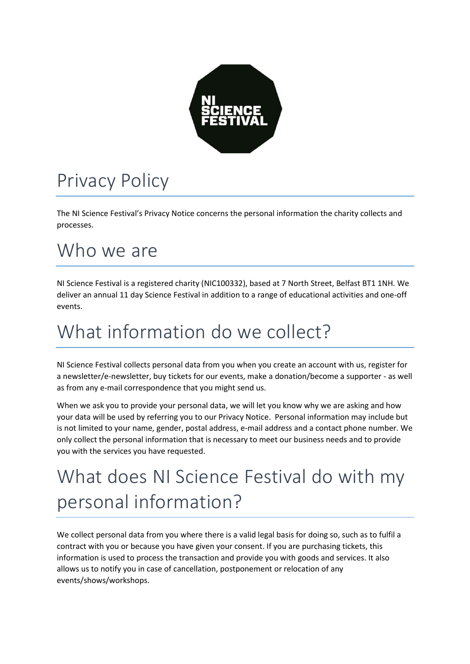

### Privacy Policy

The NI Science Festival's Privacy Notice concerns the personal information the charity collects and processes.

#### Who we are

NI Science Festival is a registered charity (NIC100332), based at 7 North Street, Belfast BT1 1NH. We deliver an annual 11 day Science Festival in addition to a range of educational activities and one-off events.

#### What information do we collect?

NI Science Festival collects personal data from you when you create an account with us, register for a newsletter/e-newsletter, buy tickets for our events, make a donation/become a supporter - as well as from any e-mail correspondence that you might send us.

When we ask you to provide your personal data, we will let you know why we are asking and how your data will be used by referring you to our Privacy Notice. Personal information may include but is not limited to your name, gender, postal address, e-mail address and a contact phone number. We only collect the personal information that is necessary to meet our business needs and to provide you with the services you have requested.

# What does NI Science Festival do with my personal information?

We collect personal data from you where there is a valid legal basis for doing so, such as to fulfil a contract with you or because you have given your consent. If you are purchasing tickets, this information is used to process the transaction and provide you with goods and services. It also allows us to notify you in case of cancellation, postponement or relocation of any events/shows/workshops.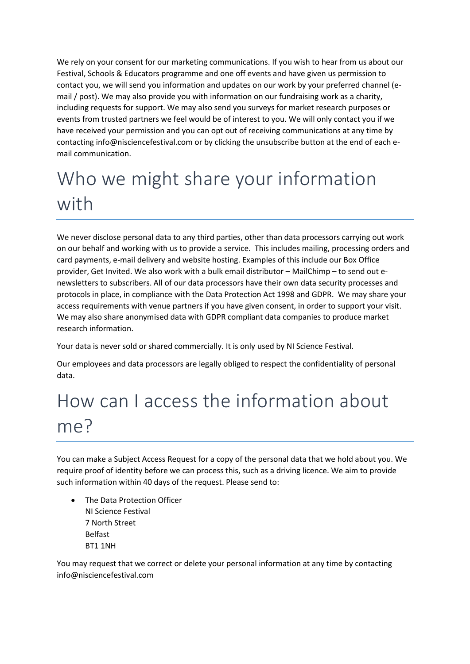We rely on your consent for our marketing communications. If you wish to hear from us about our Festival, Schools & Educators programme and one off events and have given us permission to contact you, we will send you information and updates on our work by your preferred channel (email / post). We may also provide you with information on our fundraising work as a charity, including requests for support. We may also send you surveys for market research purposes or events from trusted partners we feel would be of interest to you. We will only contact you if we have received your permission and you can opt out of receiving communications at any time by contacting info@nisciencefestival.com or by clicking the unsubscribe button at the end of each email communication.

## Who we might share your information with

We never disclose personal data to any third parties, other than data processors carrying out work on our behalf and working with us to provide a service. This includes mailing, processing orders and card payments, e-mail delivery and website hosting. Examples of this include our Box Office provider, Get Invited. We also work with a bulk email distributor – MailChimp – to send out enewsletters to subscribers. All of our data processors have their own data security processes and protocols in place, in compliance with the Data Protection Act 1998 and GDPR. We may share your access requirements with venue partners if you have given consent, in order to support your visit. We may also share anonymised data with GDPR compliant data companies to produce market research information.

Your data is never sold or shared commercially. It is only used by NI Science Festival.

Our employees and data processors are legally obliged to respect the confidentiality of personal data.

## How can I access the information about me?

You can make a Subject Access Request for a copy of the personal data that we hold about you. We require proof of identity before we can process this, such as a driving licence. We aim to provide such information within 40 days of the request. Please send to:

• The Data Protection Officer NI Science Festival 7 North Street Belfast BT1 1NH

You may request that we correct or delete your personal information at any time by contacting info@nisciencefestival.com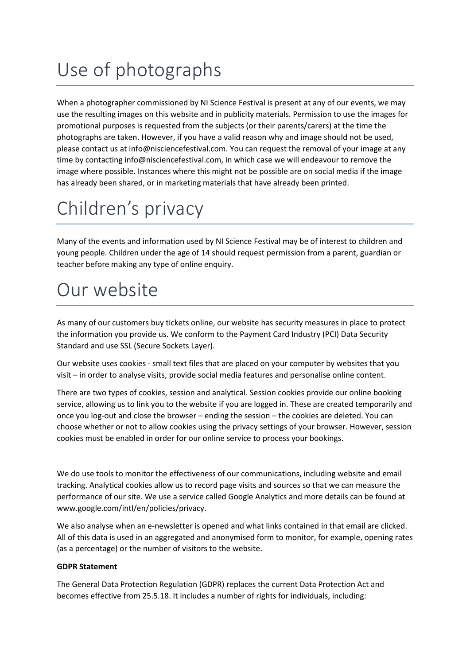# Use of photographs

When a photographer commissioned by NI Science Festival is present at any of our events, we may use the resulting images on this website and in publicity materials. Permission to use the images for promotional purposes is requested from the subjects (or their parents/carers) at the time the photographs are taken. However, if you have a valid reason why and image should not be used, please contact us at info@nisciencefestival.com. You can request the removal of your image at any time by contacting info@nisciencefestival.com, in which case we will endeavour to remove the image where possible. Instances where this might not be possible are on social media if the image has already been shared, or in marketing materials that have already been printed.

## Children's privacy

Many of the events and information used by NI Science Festival may be of interest to children and young people. Children under the age of 14 should request permission from a parent, guardian or teacher before making any type of online enquiry.

#### Our website

As many of our customers buy tickets online, our website has security measures in place to protect the information you provide us. We conform to the Payment Card Industry (PCI) Data Security Standard and use SSL (Secure Sockets Layer).

Our website uses cookies - small text files that are placed on your computer by websites that you visit – in order to analyse visits, provide social media features and personalise online content.

There are two types of cookies, session and analytical. Session cookies provide our online booking service, allowing us to link you to the website if you are logged in. These are created temporarily and once you log-out and close the browser – ending the session – the cookies are deleted. You can choose whether or not to allow cookies using the privacy settings of your browser. However, session cookies must be enabled in order for our online service to process your bookings.

We do use tools to monitor the effectiveness of our communications, including website and email tracking. Analytical cookies allow us to record page visits and sources so that we can measure the performance of our site. We use a service called Google Analytics and more details can be found at www.google.com/intl/en/policies/privacy.

We also analyse when an e-newsletter is opened and what links contained in that email are clicked. All of this data is used in an aggregated and anonymised form to monitor, for example, opening rates (as a percentage) or the number of visitors to the website.

#### **GDPR Statement**

The General Data Protection Regulation (GDPR) replaces the current Data Protection Act and becomes effective from 25.5.18. It includes a number of rights for individuals, including: